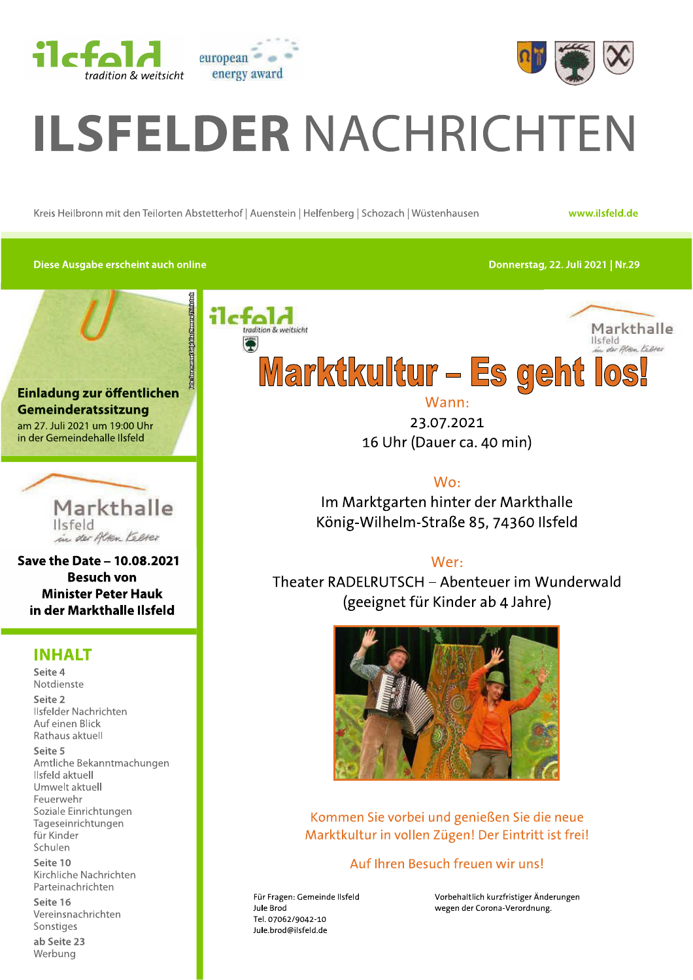



# ELDER NACHRICH<br>
Kreis Heilbronn mit den Teilorten Abstetterhof | Auenstein | Helfenberg | Schozach | Wüstenhausen<br>
Diese Ausgabe erscheint auch online<br>
11-fa14  $\blacksquare$  DEK NACHRICH I EN<br>Kreis Heilbronn mit den Teilorten Abstetterhof | Auenstein | Helfenberg | Schozach | Wüstenhausen<br>Kreis Heilbronn mit den Teilorten Abstetterhof | Auenstein | Helfenberg | Schozach | Wüstenhausen

www.ilsfeld.de

Diese Ausgabe erscheint auch online

-../0.1.234 /.5 666/7-





Save the Date -  $10.08.2021$ Besuch von **Minister Peter Hauk** in der Markthalle Ilsfeld

#### **INHALT**

Seite 4  $^{4}$ Notdienste Seite 2 Ilsfelder Nachrichten Auf einen Blick Rathaus aktuell Seite 5 Amtliche Bekanntmachungen Ilsfeld aktuell Umwelt aktuell<br>Feuerwehr llsfelder Nachrichten<br>
Auf einen Blick<br>
Rathaus aktuell<br> **Seite 5**<br>
Amtliche Bekanntmacht<br>
llsfeld aktuell<br>
Umwelt aktuell<br>
Feuerwehr<br>
Soziale Einrichtungen<br>
Tageseinrichtungen<br>
für Kinder<br>
Schulen<br> **Seite 10**<br>
Kirchliche lageseinrichtungen<br>für Kinder<br>Schulen<br>Seite 10<br>Kirchliche Nachrichten<br>Parteinachrichten<br>Seite 16<br>Vereinsnachrichten<br>Sonstiges<br>**ab Seite 23**<br>Werbung

 $\mathfrak{r}$ e 10 -Kirchliche Nachrichten Parteinachrichten

Seite T6<br>..

ite 23 Werbung



Wann: 23.07.2021 16 Uhr (Dauer ca. 40 min)

 $W_0$ : Im Marktgarten hinter der Markthalle König-Wilhelm-Straße 85, 74360 Ilsfeld

#### Wer:

Theater RADELRUTSCH – Abenteuer im Wunderwald (geeignet für Kinder ab 4 Jahre)



Kommen Sie vorbei und genießen Sie die neue Marktkultur in vollen Zügen! Der Eintritt ist frei!

#### Auf Ihren Besuch freuen wir uns!

Für Fragen: Gemeinde Ilsfeld Tel. 07062/9042-10 Jule.brod@ilsfeld.de

Für Fragen: Gemeinde Ilsfeld<br>
Jule Brod<br>
Jule Brod<br>
Wegen der Corona-Verordnung. wegen der Corona-Verordnung.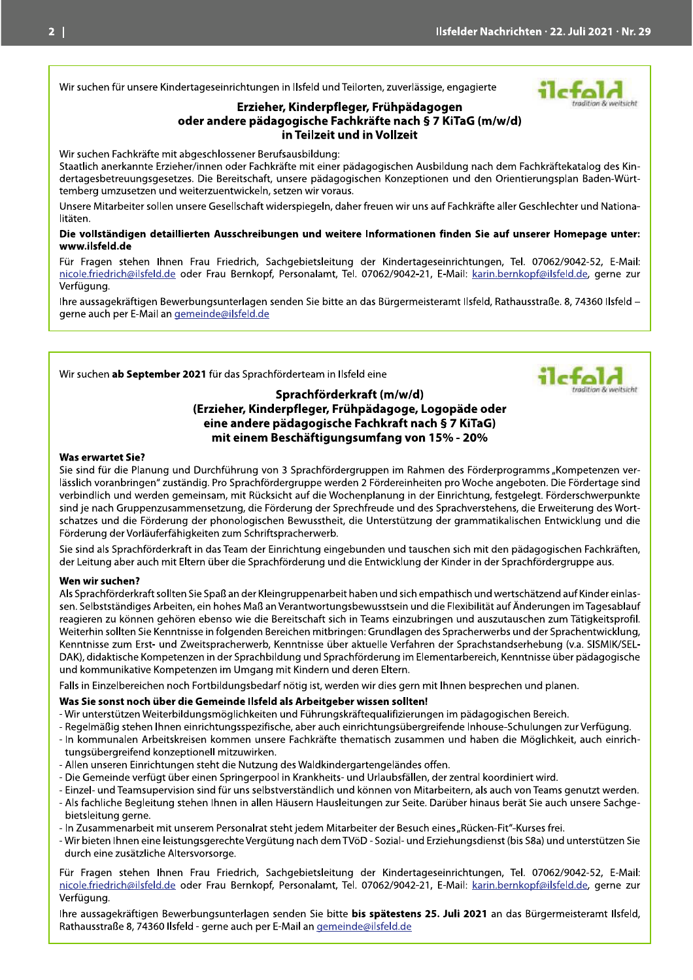#### Wir suchen für unsere Kindertageseinrichtungen in Ilsfeld und Teilorten, zuverlässige, engagierte

#### Erzieher, Kinderpfleger, Frühpädagogen



oder andere pädagogische Fachkräfte nach § 7 KiTaG (m/w/d) in Teilzeit und in Vollzeit

Wir suchen Fachkräfte mit abgeschlossener Berufsausbildung:

Staatlich anerkannte Erzieher/innen oder Fachkräfte mit einer pädagogischen Ausbildung nach dem Fachkräftekatalog des Kindertagesbetreuungsgesetzes. Die Bereitschaft, unsere pädagogischen Konzeptionen und den Orientierungsplan Baden-Württemberg umzusetzen und weiterzuentwickeln, setzen wir voraus.

Unsere Mitarbeiter sollen unsere Gesellschaft widerspiegeln, daher freuen wir uns auf Fachkräfte aller Geschlechter und Nationalitäten.

#### Die vollständigen detaillierten Ausschreibungen und weitere Informationen finden Sie auf unserer Homepage unter: www.ilsfeld.de

Für Fragen stehen Ihnen Frau Friedrich, Sachgebietsleitung der Kindertageseinrichtungen, Tel. 07062/9042-52, E-Mail: nicole.friedrich@ilsfeld.de oder Frau Bernkopf, Personalamt, Tel. 07062/9042-21, E-Mail: karin.bernkopf@ilsfeld.de, gerne zur Verfügung.

Ihre aussagekräftigen Bewerbungsunterlagen senden Sie bitte an das Bürgermeisteramt Ilsfeld, Rathausstraße, 8, 74360 Ilsfeld – gerne auch per E-Mail an gemeinde@ilsfeld.de

#### Wir suchen ab September 2021 für das Sprachförderteam in Ilsfeld eine



#### Sprachförderkraft (m/w/d) (Erzieher, Kinderpfleger, Frühpädagoge, Logopäde oder eine andere pädagogische Fachkraft nach § 7 KiTaG) mit einem Beschäftigungsumfang von 15% - 20%

#### **Was erwartet Sie?**

Sie sind für die Planung und Durchführung von 3 Sprachfördergruppen im Rahmen des Förderprogramms "Kompetenzen verlässlich voranbringen" zuständig. Pro Sprachfördergruppe werden 2 Fördereinheiten pro Woche angeboten. Die Fördertage sind verbindlich und werden gemeinsam, mit Rücksicht auf die Wochenplanung in der Einrichtung, festgelegt. Förderschwerpunkte sind je nach Gruppenzusammensetzung, die Förderung der Sprechfreude und des Sprachverstehens, die Erweiterung des Wortschatzes und die Förderung der phonologischen Bewusstheit, die Unterstützung der grammatikalischen Entwicklung und die Förderung der Vorläuferfähigkeiten zum Schriftspracherwerb.

Sie sind als Sprachförderkraft in das Team der Einrichtung eingebunden und tauschen sich mit den pädagogischen Fachkräften, der Leitung aber auch mit Eltern über die Sprachförderung und die Entwicklung der Kinder in der Sprachfördergruppe aus.

#### Wen wir suchen?

Als Sprachförderkraft sollten Sie Spaß an der Kleingruppenarbeit haben und sich empathisch und wertschätzend auf Kinder einlassen. Selbstständiges Arbeiten, ein hohes Maß an Verantwortungsbewusstsein und die Flexibilität auf Änderungen im Tagesablauf reagieren zu können gehören ebenso wie die Bereitschaft sich in Teams einzubringen und auszutauschen zum Tätigkeitsprofil. Weiterhin sollten Sie Kenntnisse in folgenden Bereichen mitbringen: Grundlagen des Spracherwerbs und der Sprachentwicklung, Kenntnisse zum Erst- und Zweitspracherwerb, Kenntnisse über aktuelle Verfahren der Sprachstandserhebung (v.a. SISMIK/SEL-DAK), didaktische Kompetenzen in der Sprachbildung und Sprachförderung im Elementarbereich, Kenntnisse über pädagogische und kommunikative Kompetenzen im Umgang mit Kindern und deren Eltern.

Falls in Einzelbereichen noch Fortbildungsbedarf nötig ist, werden wir dies gern mit Ihnen besprechen und planen.

#### Was Sie sonst noch über die Gemeinde Ilsfeld als Arbeitgeber wissen sollten!

- Wir unterstützen Weiterbildungsmöglichkeiten und Führungskräftequalifizierungen im pädagogischen Bereich.
- Regelmäßig stehen Ihnen einrichtungsspezifische, aber auch einrichtungsübergreifende Inhouse-Schulungen zur Verfügung.
- In kommunalen Arbeitskreisen kommen unsere Fachkräfte thematisch zusammen und haben die Möglichkeit, auch einrichtungsübergreifend konzeptionell mitzuwirken.
- Allen unseren Einrichtungen steht die Nutzung des Waldkindergartengeländes offen.
- Die Gemeinde verfügt über einen Springerpool in Krankheits- und Urlaubsfällen, der zentral koordiniert wird.
- Einzel- und Teamsupervision sind für uns selbstverständlich und können von Mitarbeitern, als auch von Teams genutzt werden. - Als fachliche Begleitung stehen Ihnen in allen Häusern Hausleitungen zur Seite. Darüber hinaus berät Sie auch unsere Sachgebietsleitung gerne.
- In Zusammenarbeit mit unserem Personalrat steht jedem Mitarbeiter der Besuch eines "Rücken-Fit"-Kurses frei.
- Wir bieten Ihnen eine leistungsgerechte Vergütung nach dem TVöD Sozial- und Erziehungsdienst (bis S8a) und unterstützen Sie durch eine zusätzliche Altersvorsorge.

Für Fragen stehen Ihnen Frau Friedrich, Sachgebietsleitung der Kindertageseinrichtungen, Tel. 07062/9042-52, E-Mail: nicole.friedrich@ilsfeld.de oder Frau Bernkopf, Personalamt, Tel. 07062/9042-21, E-Mail: karin.bernkopf@ilsfeld.de, gerne zur Verfügung.

Ihre aussagekräftigen Bewerbungsunterlagen senden Sie bitte bis spätestens 25. Juli 2021 an das Bürgermeisteramt Ilsfeld, Rathausstraße 8, 74360 Ilsfeld - gerne auch per E-Mail an gemeinde@ilsfeld.de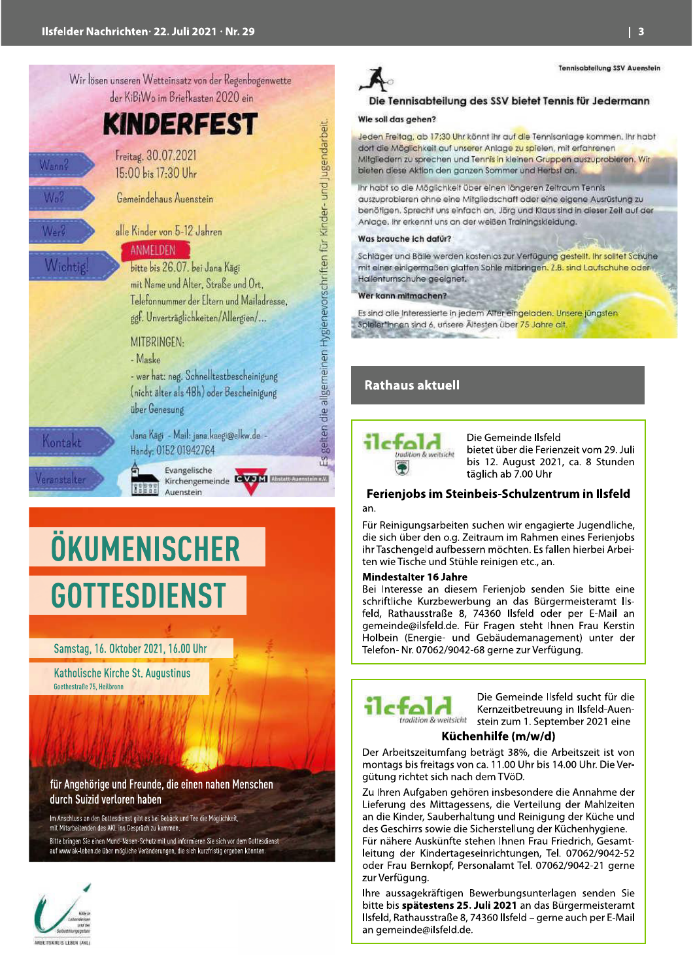

# ÖKUMENISCHER **GOTTESDIENST**

#### Samstag, 16. Oktober 2021, 16.00 Uhr

Katholische Kirche St. Augustinus Goethestraße 75, Heilbronn

für Angehörige und Freunde, die einen nahen Menschen durch Suizid verloren haben

Im Anschluss an den Gottesdienst gibt es bei Gebäck und Tee die Möglichkeit, mit Mitarbeitenden des AKL ins Gespräch zu kommen Bitte bringen Sie einen Mund-Nasen-Schutz mit und informieren Sie sich vor dem Gottesdienst auf www.ak-leben.de über mögliche Veränderungen, die sich kurzfristig ergeben könnten.





#### Die Tennisabteilung des SSV bietet Tennis für Jedermann

#### Wie soll das gehen?

Jeden Freitag, ab 17:30 Uhr könnt ihr auf die Tennisanlage kommen. Ihr habt dort die Möglichkeit auf unserer Anlage zu spielen, mit erfahrenen Mitgliedern zu sprechen und Tennis in kleinen Gruppen auszuprobieren. Wir bieten diese Aktion den ganzen Sommer und Herbst an.

Ihr habt so die Möglichkeit über einen längeren Zeitraum Tennis auszuprobieren ohne eine Mitgliedschaft oder eine eigene Ausrüstung zu benötigen. Sprecht uns einfach an, Jörg und Klaus sind in dieser Zeit auf der Anlage. Ihr erkennt uns an der weißen Trainingskieldung.

#### Was brauche ich dafür?

Schläger und Bälle werden kostenlos zur Verfügung gestellt. Ihr solltet Schuhe mit einer einigermaßen glatten Sohle mitbringen. Z.B. sind Laufschuhe oder Hallenturnschuhe geeignet.

Wer kann mitmachen?

Es sind alle Interessierte in jedem Alter eingeladen. Unsere jüngsten Spieler\*Innen sind 6, unsere Ältesten über 75 Jahre alt,

#### **Rathaus aktuell**



Die Gemeinde Ilsfeld bietet über die Ferienzeit vom 29. Juli bis 12. August 2021, ca. 8 Stunden täglich ab 7.00 Uhr

#### Ferienjobs im Steinbeis-Schulzentrum in Ilsfeld an

Für Reinigungsarbeiten suchen wir engagierte Jugendliche, die sich über den o.g. Zeitraum im Rahmen eines Ferienjobs ihr Taschengeld aufbessern möchten. Es fallen hierbei Arbeiten wie Tische und Stühle reinigen etc., an.

#### **Mindestalter 16 Jahre**

Bei Interesse an diesem Ferienjob senden Sie bitte eine schriftliche Kurzbewerbung an das Bürgermeisteramt Ilsfeld, Rathausstraße 8, 74360 Ilsfeld oder per E-Mail an gemeinde@ilsfeld.de. Für Fragen steht Ihnen Frau Kerstin Holbein (Energie- und Gebäudemanagement) unter der Telefon-Nr. 07062/9042-68 gerne zur Verfügung.



Die Gemeinde Ilsfeld sucht für die Kernzeitbetreuung in Ilsfeld-Auenstein zum 1. September 2021 eine

#### Küchenhilfe (m/w/d)

Der Arbeitszeitumfang beträgt 38%, die Arbeitszeit ist von montags bis freitags von ca. 11.00 Uhr bis 14.00 Uhr. Die Vergütung richtet sich nach dem TVöD.

Zu Ihren Aufgaben gehören insbesondere die Annahme der Lieferung des Mittagessens, die Verteilung der Mahlzeiten an die Kinder, Sauberhaltung und Reinigung der Küche und des Geschirrs sowie die Sicherstellung der Küchenhygiene. Für nähere Auskünfte stehen Ihnen Frau Friedrich, Gesamt-

leitung der Kindertageseinrichtungen, Tel. 07062/9042-52 oder Frau Bernkopf, Personalamt Tel. 07062/9042-21 gerne zur Verfügung.

Ihre aussagekräftigen Bewerbungsunterlagen senden Sie bitte bis spätestens 25. Juli 2021 an das Bürgermeisteramt Ilsfeld, Rathausstraße 8, 74360 Ilsfeld - gerne auch per E-Mail an gemeinde@ilsfeld.de.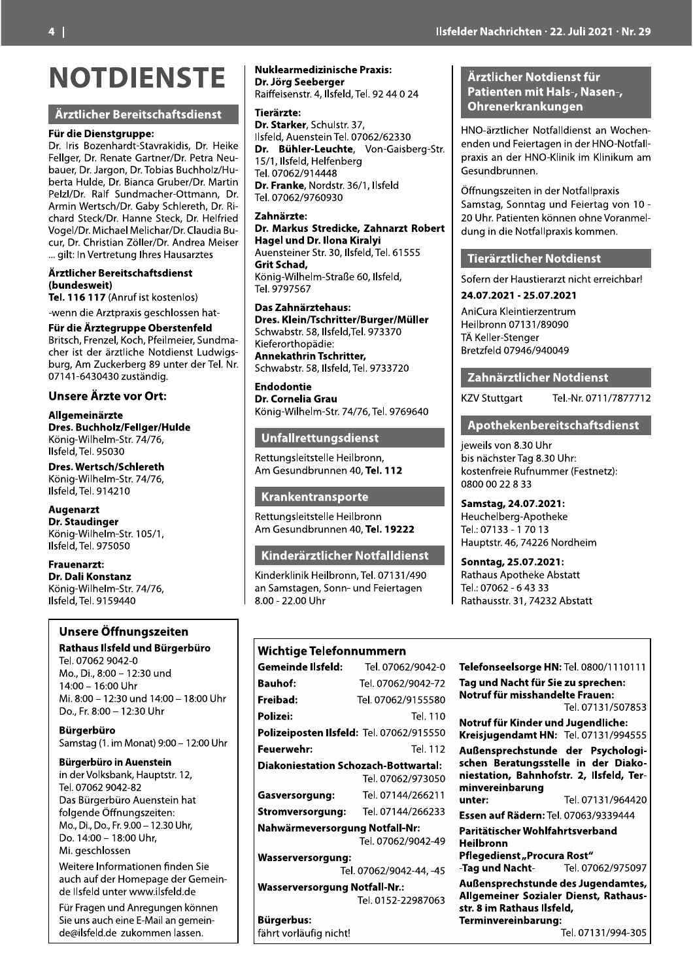## **NOTDIENSTE**

#### Ärztlicher Bereitschaftsdienst

#### Für die Dienstgruppe:

Dr. Iris Bozenhardt-Stavrakidis, Dr. Heike Fellger, Dr. Renate Gartner/Dr. Petra Neubauer, Dr. Jargon, Dr. Tobias Buchholz/Huberta Hulde, Dr. Bianca Gruber/Dr. Martin Pelzl/Dr. Ralf Sundmacher-Ottmann, Dr. Armin Wertsch/Dr. Gaby Schlereth, Dr. Richard Steck/Dr. Hanne Steck, Dr. Helfried Vogel/Dr. Michael Melichar/Dr. Claudia Bucur. Dr. Christian Zöller/Dr. Andrea Meiser ... gilt: In Vertretung Ihres Hausarztes

Ärztlicher Bereitschaftsdienst (bundesweit)

Tel. 116 117 (Anruf ist kostenlos)

### -wenn die Arztpraxis geschlossen hat-

Für die Ärztegruppe Oberstenfeld Britsch, Frenzel, Koch, Pfeilmeier, Sundmacher ist der ärztliche Notdienst Ludwigsburg, Am Zuckerberg 89 unter der Tel. Nr. 07141-6430430 zuständig.

#### Unsere Ärzte vor Ort:

Allgemeinärzte Dres. Buchholz/Fellger/Hulde König-Wilhelm-Str. 74/76, Ilsfeld, Tel. 95030

Dres. Wertsch/Schlereth König-Wilhelm-Str. 74/76, Ilsfeld, Tel. 914210

#### **Augenarzt**

**Dr. Staudinger** König-Wilhelm-Str. 105/1, Ilsfeld, Tel. 975050

**Frauenarzt:** Dr. Dali Konstanz König-Wilhelm-Str. 74/76, Ilsfeld, Tel. 9159440

#### Unsere Öffnungszeiten

Rathaus Ilsfeld und Bürgerbüro Tel. 07062 9042-0 Mo., Di., 8:00 - 12:30 und 14:00 - 16:00 Uhr Mi. 8:00 - 12:30 und 14:00 - 18:00 Uhr Do., Fr. 8:00 - 12:30 Uhr

**Bürgerbüro** Samstag (1. im Monat) 9:00 - 12:00 Uhr

#### **Bürgerbüro in Auenstein**

in der Volksbank, Hauptstr, 12, Tel. 07062 9042-82 Das Bürgerbüro Auenstein hat folgende Öffnungszeiten: Mo., Di., Do., Fr. 9.00 - 12.30 Uhr, Do. 14:00 - 18:00 Uhr, Mi. aeschlossen

Weitere Informationen finden Sie auch auf der Homepage der Gemeinde Ilsfeld unter www.ilsfeld.de

Für Fragen und Anregungen können Sie uns auch eine E-Mail an gemeinde@ilsfeld.de\_zukommen lassen.

#### **Nuklearmedizinische Praxis:** Dr. Jörg Seeberger

Raiffeisenstr. 4, Ilsfeld, Tel. 92 44 0 24

Tierärzte<sup>.</sup>

Dr. Starker, Schulstr, 37. Ilsfeld, Auenstein Tel. 07062/62330 Dr. Bühler-Leuchte, Von-Gaisberg-Str. 15/1, Ilsfeld, Helfenberg Tel. 07062/914448 Dr. Franke, Nordstr. 36/1, Ilsfeld Tel. 07062/9760930

#### Zahnärzte:

Dr. Markus Stredicke, Zahnarzt Robert Hagel und Dr. Ilona Kiralyi Auensteiner Str. 30, Ilsfeld, Tel. 61555 **Grit Schad.** König-Wilhelm-Straße 60, Ilsfeld, Tel. 9797567

Das Zahnärztehaus: Dres. Klein/Tschritter/Burger/Müller Schwabstr. 58, Ilsfeld, Tel. 973370 Kieferorthopädie: Annekathrin Tschritter, Schwabstr. 58, Ilsfeld, Tel. 9733720

**Endodontie** Dr. Cornelia Grau König-Wilhelm-Str. 74/76, Tel. 9769640

#### Unfallrettungsdienst

Rettungsleitstelle Heilbronn. Am Gesundbrunnen 40, Tel. 112

#### Krankentransporte

Rettungsleitstelle Heilbronn Am Gesundbrunnen 40, Tel. 19222

#### Kinderärztlicher Notfalldienst

Kinderklinik Heilbronn, Tel. 07131/490 an Samstagen, Sonn- und Feiertagen 8.00 - 22.00 Uhr

#### Wichtige Telefonnummern

| Gemeinde Ilsfeld:                           | Tel. 07062/9042-0       |  |
|---------------------------------------------|-------------------------|--|
| <b>Bauhof:</b>                              | Tel. 07062/9042-72      |  |
| Freibad:                                    | Tel. 07062/9155580      |  |
| Polizei:                                    | Tel. 110                |  |
| Polizeiposten Ilsfeld: Tel. 07062/915550    |                         |  |
| Feuerwehr:                                  | Tel. 112                |  |
| <b>Diakoniestation Schozach-Bottwartal:</b> |                         |  |
|                                             | Tel. 07062/973050       |  |
| Gasversorgung:                              | Tel. 07144/266211       |  |
| Stromversorgung:                            | Tel. 07144/266233       |  |
| Nahwärmeversorgung Notfall-Nr:              |                         |  |
|                                             | Tel. 07062/9042-49      |  |
| <b>Wasserversorgung:</b>                    |                         |  |
|                                             | Tel. 07062/9042-44, -45 |  |
| <b>Wasserversorgung Notfall-Nr.:</b>        |                         |  |
|                                             | Tel 0152-22987063       |  |

**Bürgerbus:** 

fährt vorläufig nicht!

#### Ärztlicher Notdienst für Patienten mit Hals-, Nasen-, Ohrenerkrankungen

HNO-ärztlicher Notfalldienst an Wochenenden und Feiertagen in der HNO-Notfallpraxis an der HNO-Klinik im Klinikum am Gesundbrunnen.

Öffnungszeiten in der Notfallpraxis Samstag, Sonntag und Feiertag von 10 -20 Uhr. Patienten können ohne Voranmeldung in die Notfallpraxis kommen.

#### **Tierärztlicher Notdienst**

Sofern der Haustierarzt nicht erreichbar!

#### 24.07.2021 - 25.07.2021

AniCura Kleintierzentrum Heilbronn 07131/89090 TÄ Keller-Stenger Bretzfeld 07946/940049

#### Zahnärztlicher Notdienst

**KZV Stuttgart** 

## Tel.-Nr. 0711/7877712

#### Apothekenbereitschaftsdienst

jeweils von 8.30 Uhr .<br>bis nächster Tag 8.30 Uhr: kostenfreie Rufnummer (Festnetz): 0800 00 22 8 33

Samstag, 24.07.2021: Heuchelberg-Apotheke Tel.: 07133 - 17013 Hauptstr. 46, 74226 Nordheim

Sonntag, 25.07.2021: **Rathaus Apotheke Abstatt** Tel.: 07062 - 64333 Rathausstr. 31, 74232 Abstatt

#### Telefonseelsorge HN: Tel. 0800/1110111 Tag und Nacht für Sie zu sprechen: Notruf für misshandelte Frauen: Tel. 07131/507853 Notruf für Kinder und Jugendliche: Kreisjugendamt HN: Tel. 07131/994555 Außensprechstunde der Psychologischen Beratungsstelle in der Diakoniestation, Bahnhofstr. 2, Ilsfeld, Terminvereinbarung Tel. 07131/964420 unter: Essen auf Rädern: Tel. 07063/9339444 Paritätischer Wohlfahrtsverband **Heilbronn** Pflegedienst "Procura Rost" Tel. 07062/975097 -Tag und Nacht-Außensprechstunde des Jugendamtes, Allgemeiner Sozialer Dienst, Rathaus-

str. 8 im Rathaus Ilsfeld, Terminvereinbarung: Tel. 07131/994-305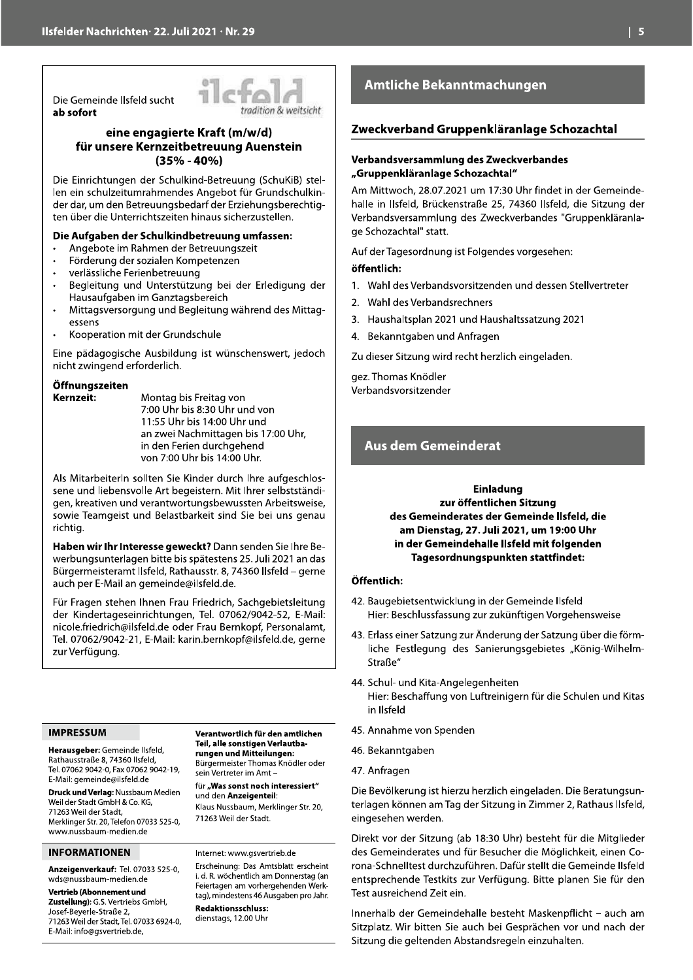Die Gemeinde Ilsfeld sucht ab sofort



#### eine engagierte Kraft (m/w/d) für unsere Kernzeitbetreuung Auenstein  $(35\% - 40\%)$

Die Einrichtungen der Schulkind-Betreuung (SchuKiB) stellen ein schulzeitumrahmendes Angebot für Grundschulkinder dar, um den Betreuungsbedarf der Erziehungsberechtigten über die Unterrichtszeiten hinaus sicherzustellen.

#### Die Aufgaben der Schulkindbetreuung umfassen:

- Angebote im Rahmen der Betreuungszeit
- Förderung der sozialen Kompetenzen
- verlässliche Ferienbetreuung
- Begleitung und Unterstützung bei der Erledigung der Hausaufgaben im Ganztagsbereich
- Mittagsversorgung und Begleitung während des Mittagessens
- Kooperation mit der Grundschule

Eine pädagogische Ausbildung ist wünschenswert, jedoch nicht zwingend erforderlich.

#### Öffnungszeiten Kernzeit:

Montag bis Freitag von 7:00 Uhr bis 8:30 Uhr und von 11:55 Uhr bis 14:00 Uhr und an zwei Nachmittagen bis 17:00 Uhr, in den Ferien durchgehend von 7:00 Uhr bis 14:00 Uhr.

Als Mitarbeiterln sollten Sie Kinder durch Ihre aufgeschlossene und liebensvolle Art begeistern. Mit Ihrer selbstständigen, kreativen und verantwortungsbewussten Arbeitsweise, sowie Teamgeist und Belastbarkeit sind Sie bei uns genau richtig.

Haben wir Ihr Interesse geweckt? Dann senden Sie Ihre Bewerbungsunterlagen bitte bis spätestens 25. Juli 2021 an das Bürgermeisteramt Ilsfeld, Rathausstr. 8, 74360 Ilsfeld - gerne auch per E-Mail an gemeinde@ilsfeld.de.

Für Fragen stehen Ihnen Frau Friedrich, Sachgebietsleitung der Kindertageseinrichtungen, Tel. 07062/9042-52, E-Mail: nicole.friedrich@ilsfeld.de oder Frau Bernkopf, Personalamt, Tel. 07062/9042-21, E-Mail: karin.bernkopf@ilsfeld.de, gerne zur Verfügung.

#### **IMPRESSUM**

Herausgeber: Gemeinde Ilsfeld, Rathausstraße 8, 74360 Ilsfeld, Tel. 07062 9042-0, Fax 07062 9042-19, E-Mail: gemeinde@ilsfeld.de

Druck und Verlag: Nussbaum Medien Weil der Stadt GmbH & Co. KG, 71263 Weil der Stadt. Merklinger Str. 20, Telefon 07033 525-0. www.nussbaum-medien.de

#### **INFORMATIONEN**

Anzeigenverkauf: Tel. 07033 525-0, wds@nussbaum-medien.de

#### Vertrieb (Abonnement und

Zustellung): G.S. Vertriebs GmbH, Josef-Beyerle-Straße 2, 71263 Weil der Stadt, Tel. 07033 6924-0, E-Mail: info@gsvertrieb.de,

Verantwortlich für den amtlichen Teil, alle sonstigen Verlautbarungen und Mitteilungen: Bürgermeister Thomas Knödler oder sein Vertreter im Amt-

für "Was sonst noch interessiert" und den Anzeigenteil: Klaus Nussbaum, Merklinger Str. 20, 71263 Weil der Stadt.

#### Internet: www.asvertrieb.de Erscheinung: Das Amtsblatt erscheint

i. d. R. wöchentlich am Donnerstag (an Feiertagen am vorhergehenden Werktag), mindestens 46 Ausgaben pro Jahr. **Redaktionsschluss:** dienstags, 12.00 Uhr

#### **Amtliche Bekanntmachungen**

#### Zweckverband Gruppenkläranlage Schozachtal

#### Verbandsversammlung des Zweckverbandes "Gruppenkläranlage Schozachtal"

Am Mittwoch, 28.07.2021 um 17:30 Uhr findet in der Gemeindehalle in Ilsfeld, Brückenstraße 25, 74360 Ilsfeld, die Sitzung der Verbandsversammlung des Zweckverbandes "Gruppenkläranlage Schozachtal" statt.

Auf der Tagesordnung ist Folgendes vorgesehen:

#### öffentlich:

- 1. Wahl des Verbandsvorsitzenden und dessen Stellvertreter
- 2. Wahl des Verbandsrechners
- 3. Haushaltsplan 2021 und Haushaltssatzung 2021
- 4. Bekanntgaben und Anfragen

Zu dieser Sitzung wird recht herzlich eingeladen.

gez. Thomas Knödler Verbandsvorsitzender

#### **Aus dem Gemeinderat**

#### **Einladung** zur öffentlichen Sitzung des Gemeinderates der Gemeinde Ilsfeld, die am Dienstag, 27. Juli 2021, um 19:00 Uhr in der Gemeindehalle Ilsfeld mit folgenden Tagesordnungspunkten stattfindet:

#### Öffentlich:

- 42. Baugebietsentwicklung in der Gemeinde Ilsfeld Hier: Beschlussfassung zur zukünftigen Vorgehensweise
- 43. Erlass einer Satzung zur Änderung der Satzung über die förmliche Festlegung des Sanierungsgebietes "König-Wilhelm-Straße"
- 44. Schul- und Kita-Angelegenheiten Hier: Beschaffung von Luftreinigern für die Schulen und Kitas in Ilsfeld
- 45. Annahme von Spenden
- 46. Bekanntgaben
- 47. Anfragen

Die Bevölkerung ist hierzu herzlich eingeladen. Die Beratungsunterlagen können am Tag der Sitzung in Zimmer 2, Rathaus Ilsfeld, eingesehen werden.

Direkt vor der Sitzung (ab 18:30 Uhr) besteht für die Mitglieder des Gemeinderates und für Besucher die Möglichkeit, einen Corona-Schnelltest durchzuführen. Dafür stellt die Gemeinde Ilsfeld entsprechende Testkits zur Verfügung. Bitte planen Sie für den Test ausreichend Zeit ein.

Innerhalb der Gemeindehalle besteht Maskenpflicht – auch am Sitzplatz. Wir bitten Sie auch bei Gesprächen vor und nach der Sitzung die geltenden Abstandsregeln einzuhalten.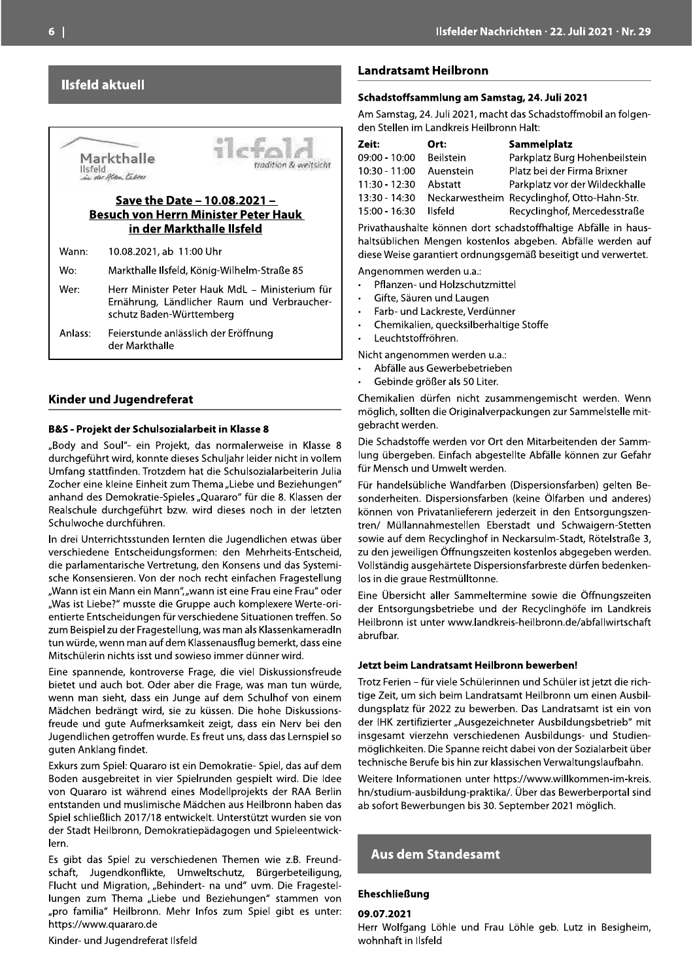#### **Ilsfeld aktuell**

Save the Date - 10.08.2021 -Besuch von Herrn Minister Peter Hauk<br>in der Markthalle Ilsfeld Markthalle<br>
IIsfeld<br>
Isfeld<br>
Save the Date - 10.08.2021 -<br>
Besuch von Herrn Minister Peter Hauk<br>
in der Markthalle IIsfeld<br>
Wann: 10.08.2021, ab 11:00 Uhr<br>
Wo: Markthalle IIsfeld<br>
Wann: 10.08.2021, ab 11:00 Uhr<br>
Wo: Markth U

#### **Kinder und Jugendreferat**

#### B&S - Projekt der Schulsozialarbeit in Klasse 8

"Body and Soul"- ein Projekt, das normalerweise in Klasse 8 durchgeführt wird, konnte dieses Schuljahr leider nicht in vollem Umfang stattfinden. Trotzdem hat die Schulsozialarbeiterin Julia Zocher eine kleine Einheit zum Thema "Liebe und Beziehungen" anhand des Demokratie-Spieles "Quararo" für die 8. Klassen der Realschule durchgeführt bzw. wird dieses noch in der letzten Schulwoche durchführen.

"our "oual" our "rivelets, das incriminatives in Nassen<br>Unrapiditat wird, konnte dieses Schuljahr leider nicht in vollem<br>Umfang stattfinden. Trotzdem hat die Schuljahr leider nicht in vollem<br>Umfang stattfinden. Trotzdem ha

Eine spannende, kontroverse Frage, die viel Diskussionsfreude bietet und auch bot. Oder aber die Frage, was man tun würde, wenn man sieht, dass ein Junge auf dem Schulhof von einem Mädchen bedrängt wird, sie zu küssen. Die hohe Diskussionsfreude und gute Aufmerksamkeit zeigt, dass ein Nerv bei den Jugendlichen getroffen wurde. Es freut uns, dass das Lernspiel so guten Anklang findet. Eine spannende, kontroverse Frage, die viel Diskussionsfreude<br>bietet und auch bot. Oder aber die Frage, was man tun würde,<br>wenn man sieht, dass ein Junge auf dem Schulhof von einem<br>Mädchen bedrängt wird, sie zu küssen. Die

Flucht und Migration, "Behindert- na und" uvm. Die Fragestel-<br>lungen zum Thema "Liebe und Beziehungen" stammen von Spiel schließlich 2017/18 entwickelt. Unterstützt wurden sie von der Stadt Heilbronn, Demokratiepädagogen und Spieleentwick-<br>
lern.<br>
Es gibt das Spiel zu verschiedenen Themen wie z.B. Freund-<br>
schaft, Jugendkonflikte, Umwe

#### **Landratsamt Heilbronn**

#### Schadstoffsammlung am Samstag, 24. Juli 2021

|                                                                  |                                                                                                                                                                                         |                                                                                               | Ilsfelder Nachrichten · 22. Juli 2021 · Nr. 29                                                                                                                                                |  |
|------------------------------------------------------------------|-----------------------------------------------------------------------------------------------------------------------------------------------------------------------------------------|-----------------------------------------------------------------------------------------------|-----------------------------------------------------------------------------------------------------------------------------------------------------------------------------------------------|--|
|                                                                  |                                                                                                                                                                                         | <b>Landratsamt Heilbronn</b>                                                                  |                                                                                                                                                                                               |  |
|                                                                  |                                                                                                                                                                                         | Schadstoffsammlung am Samstag, 24. Juli 2021                                                  |                                                                                                                                                                                               |  |
|                                                                  | Am Samstag, 24. Juli 2021, macht das Schadstoffmobil an folgen-<br>den Stellen im Landkreis Heilbronn Halt:                                                                             |                                                                                               |                                                                                                                                                                                               |  |
| adition & weitsicht                                              | Zeit:<br>09:00 - 10:00<br>10:30 - 11:00<br>11:30 - 12:30                                                                                                                                | Ort:<br><b>Beilstein</b><br>Auenstein<br>Abstatt                                              | Sammelplatz<br>Parkplatz Burg Hohenbeilstein<br>Platz bei der Firma Brixner<br>Parkplatz vor der Wildeckhalle                                                                                 |  |
| 1 –<br>er Hauk                                                   | 13:30 - 14:30<br>$15:00 - 16:30$                                                                                                                                                        | <b>Ilsfeld</b>                                                                                | Neckarwestheim Recyclinghof, Otto-Hahn-Str.<br>Recyclinghof, Mercedesstraße                                                                                                                   |  |
|                                                                  |                                                                                                                                                                                         |                                                                                               | Privathaushalte können dort schadstoffhaltige Abfälle in haus-<br>haltsüblichen Mengen kostenlos abgeben. Abfälle werden auf<br>diese Weise garantiert ordnungsgemäß beseitigt und verwertet. |  |
| Straße 85<br>Ministerium für<br>d Verbraucher-<br>Ing            | Angenommen werden u.a.:<br>Pflanzen- und Holzschutzmittel<br>Gifte, Säuren und Laugen<br>Farb- und Lackreste, Verdünner<br>Chemikalien, quecksilberhaltige Stoffe<br>Leuchtstoffröhren. |                                                                                               |                                                                                                                                                                                               |  |
|                                                                  |                                                                                                                                                                                         | Nicht angenommen werden u.a.:<br>Abfälle aus Gewerbebetrieben<br>Gebinde größer als 50 Liter. |                                                                                                                                                                                               |  |
| 8                                                                | gebracht werden.                                                                                                                                                                        |                                                                                               | Chemikalien dürfen nicht zusammengemischt werden. Wenn<br>möglich, sollten die Originalverpackungen zur Sammelstelle mit-                                                                     |  |
| weise in Klasse 8<br>der nicht in vollem<br>zialarbeiterin Julia |                                                                                                                                                                                         | für Mensch und Umwelt werden.                                                                 | Die Schadstoffe werden vor Ort den Mitarbeitenden der Samm-<br>lung übergeben. Einfach abgestellte Abfälle können zur Gefahr                                                                  |  |

- 
- 
- 
- 
- 

- 
- 

Für handelsübliche Wandfarben (Dispersionsfarben) gelten Besonderheiten. Dispersionsfarben (keine Ölfarben und anderes) können von Privatanlieferern jederzeit in den Entsorgungszentren/ Müllannahmestellen Eberstadt und Schwaigern-Stetten sowie auf dem Recyclinghof in Neckarsulm-Stadt, Rötelstraße 3, zu den jeweiligen Öffnungszeiten kostenlos abgegeben werden. Vollständig ausgehärtete Dispersionsfarbreste dürfen bedenkenlos in die graue Restmülltonne.

Eine Übersicht aller Sammeltermine sowie die Öffnungszeiten der Entsorgungsbetriebe und der Recyclinghöfe im Landkreis Heilbronn ist unter www.landkreis-heilbronn.de/abfallwirtschaft ahrufhar

#### Jetzt beim Landratsamt Heilbronn bewerben!

Trotz Ferien - für viele Schülerinnen und Schüler ist jetzt die richtige Zeit, um sich beim Landratsamt Heilbronn um einen Ausbildungsplatz für 2022 zu bewerben. Das Landratsamt ist ein von der IHK zertifizierter "Ausgezeichneter Ausbildungsbetrieb" mit insgesamt vierzehn verschiedenen Ausbildungs- und Studienmöglichkeiten. Die Spanne reicht dabei von der Sozialarbeit über<br>technische Berufe bis hin zur klassischen Verwaltungslaufbahn. Trotz Ferien – für viele Schülerinnen und Schüler ist jetzt die richtige Zeit, um sich beim Landratsamt Heilbronn um einen Ausbildungsplatz für 2022 zu bewerben. Das Landratsamt ist ein von der IHK zertifizierter "Ausgezei

#### Eheschließung

#### 09.07.2021

Herr Wolfgang Löhle und Frau Löhle geb. Lutz in Besigheim, wohnhaft in Ilsfeld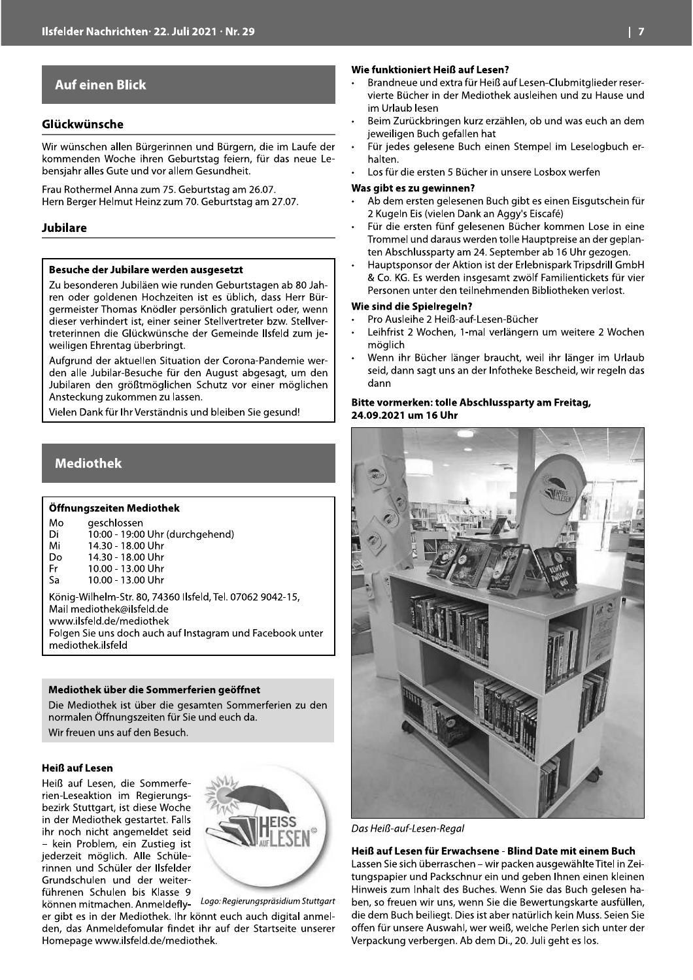#### **Auf einen Blick**

#### Glückwünsche

Wir wünschen allen Bürgerinnen und Bürgern, die im Laufe der kommenden Woche ihren Geburtstag feiern, für das neue Lebensjahr alles Gute und vor allem Gesundheit.

Frau Rothermel Anna zum 75. Geburtstag am 26.07. Hern Berger Helmut Heinz zum 70. Geburtstag am 27.07.

#### **Jubilare**

#### Besuche der Jubilare werden ausgesetzt

Zu besonderen Jubiläen wie runden Geburtstagen ab 80 Jahren oder goldenen Hochzeiten ist es üblich, dass Herr Bürgermeister Thomas Knödler persönlich gratuliert oder, wenn dieser verhindert ist, einer seiner Stellvertreter bzw. Stellvertreterinnen die Glückwünsche der Gemeinde Ilsfeld zum jeweiligen Ehrentag überbringt.

Aufgrund der aktuellen Situation der Corona-Pandemie werden alle Jubilar-Besuche für den August abgesagt, um den Jubilaren den größtmöglichen Schutz vor einer möglichen Ansteckung zukommen zu lassen.

Vielen Dank für Ihr Verständnis und bleiben Sie gesund!

#### **Mediothek**

#### Öffnungszeiten Mediothek

| Mo<br>Di                                                                               | geschlossen<br>10:00 - 19:00 Uhr (durchgehend) |  |
|----------------------------------------------------------------------------------------|------------------------------------------------|--|
| Mi                                                                                     | 14.30 - 18.00 Uhr                              |  |
| Do                                                                                     | 14.30 - 18.00 Uhr                              |  |
| Fr                                                                                     | 10.00 - 13.00 Uhr                              |  |
| Sa                                                                                     | 10.00 - 13.00 Uhr                              |  |
| König-Wilhelm-Str. 80, 74360 Ilsfeld, Tel. 07062 9042-15,<br>Mail mediothek@ilsfeld.de |                                                |  |
| www.ilsfeld.de/mediothek                                                               |                                                |  |

Folgen Sie uns doch auch auf Instagram und Facebook unter mediothek.ilsfeld

#### Mediothek über die Sommerferien geöffnet

Die Mediothek ist über die gesamten Sommerferien zu den normalen Öffnungszeiten für Sie und euch da. Wir freuen uns auf den Besuch.

#### **Heiß auf Lesen**

Heiß auf Lesen, die Sommerferien-Leseaktion im Regierungsbezirk Stuttgart, ist diese Woche in der Mediothek gestartet. Falls ihr noch nicht angemeldet seid - kein Problem, ein Zustieg ist jederzeit möglich. Alle Schülerinnen und Schüler der Ilsfelder Grundschulen und der weiterführenen Schulen bis Klasse 9



können mitmachen. Anmeldefly- Logo: Regierungspräsidium Stuttgart er gibt es in der Mediothek. Ihr könnt euch auch digital anmelden, das Anmeldefomular findet ihr auf der Startseite unserer Homepage www.ilsfeld.de/mediothek.

#### Wie funktioniert Heiß auf Lesen?

- Brandneue und extra für Heiß auf Lesen-Clubmitglieder reservierte Bücher in der Mediothek ausleihen und zu Hause und im Urlaub lesen
- Beim Zurückbringen kurz erzählen, ob und was euch an dem jeweiligen Buch gefallen hat
- Für jedes gelesene Buch einen Stempel im Leselogbuch erhalten.
- Los für die ersten 5 Bücher in unsere Losbox werfen

#### Was gibt es zu gewinnen?

- Ab dem ersten gelesenen Buch gibt es einen Eisgutschein für 2 Kugeln Eis (vielen Dank an Aggy's Eiscafé)
- Für die ersten fünf gelesenen Bücher kommen Lose in eine Trommel und daraus werden tolle Hauptpreise an der geplanten Abschlussparty am 24. September ab 16 Uhr gezogen.
- Hauptsponsor der Aktion ist der Erlebnispark Tripsdrill GmbH & Co. KG. Es werden insgesamt zwölf Familientickets für vier Personen unter den teilnehmenden Bibliotheken verlost.

#### **Wie sind die Spielregeln?**

- Pro Ausleihe 2 Heiß-auf-Lesen-Bücher
- Leihfrist 2 Wochen, 1-mal verlängern um weitere 2 Wochen möglich
- Wenn ihr Bücher länger braucht, weil ihr länger im Urlaub seid, dann sagt uns an der Infotheke Bescheid, wir regeln das dann

#### Bitte vormerken: tolle Abschlussparty am Freitag, 24.09.2021 um 16 Uhr



Das Heiß-auf-Lesen-Regal

Heiß auf Lesen für Erwachsene - Blind Date mit einem Buch Lassen Sie sich überraschen - wir packen ausgewählte Titel in Zeitungspapier und Packschnur ein und geben Ihnen einen kleinen Hinweis zum Inhalt des Buches. Wenn Sie das Buch gelesen haben, so freuen wir uns, wenn Sie die Bewertungskarte ausfüllen, die dem Buch beiliegt. Dies ist aber natürlich kein Muss. Seien Sie offen für unsere Auswahl, wer weiß, welche Perlen sich unter der Verpackung verbergen. Ab dem Di., 20. Juli geht es los.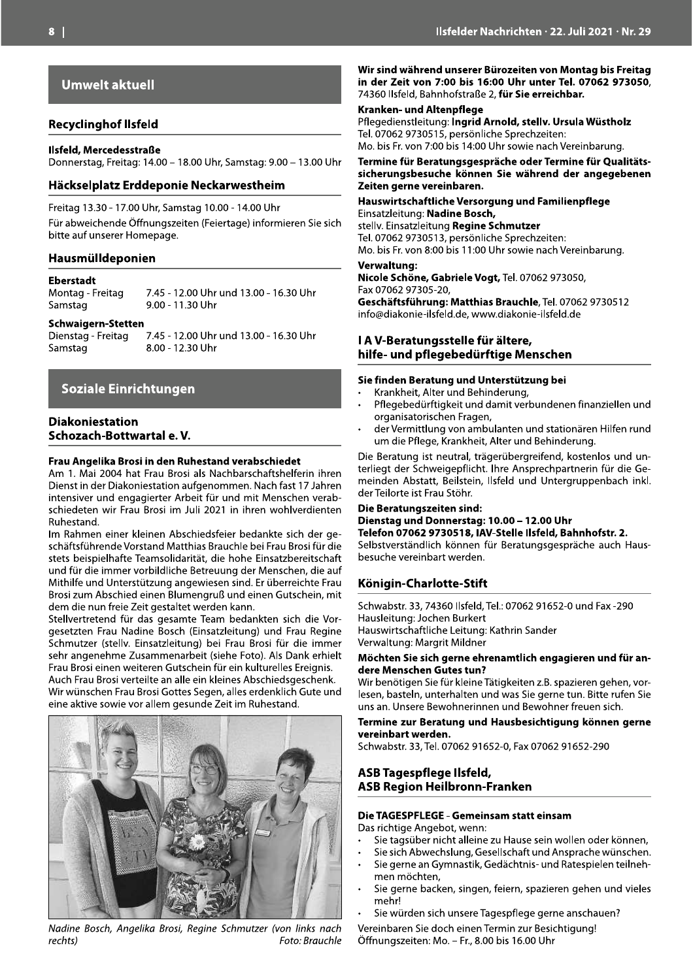**Umwelt aktuell** 

#### **Recyclinghof Ilsfeld**

#### Ilsfeld, Mercedesstraße

Donnerstag, Freitag: 14.00 - 18.00 Uhr, Samstag: 9.00 - 13.00 Uhr

#### Häckselplatz Erddeponie Neckarwestheim

Freitag 13.30 - 17.00 Uhr, Samstag 10.00 - 14.00 Uhr

Für abweichende Öffnungszeiten (Feiertage) informieren Sie sich bitte auf unserer Homepage.

#### Hausmülldeponien

#### **Eberstadt**

Montag - Freitag Samstag

7.45 - 12.00 Uhr und 13.00 - 16.30 Uhr 9.00 - 11.30 Uhr

#### **Schwaigern-Stetten**

Dienstag - Freitag 7.45 - 12.00 Uhr und 13.00 - 16.30 Uhr 8.00 - 12.30 Uhr Samstag

#### Soziale Einrichtungen

#### **Diakoniestation** Schozach-Bottwartal e.V.

#### Frau Angelika Brosi in den Ruhestand verabschiedet

Am 1. Mai 2004 hat Frau Brosi als Nachbarschaftshelferin ihren Dienst in der Diakoniestation aufgenommen. Nach fast 17 Jahren intensiver und engagierter Arbeit für und mit Menschen verabschiedeten wir Frau Brosi im Juli 2021 in ihren wohlverdienten Ruhestand.

Im Rahmen einer kleinen Abschiedsfeier bedankte sich der geschäftsführende Vorstand Matthias Brauchle bei Frau Brosi für die stets beispielhafte Teamsolidarität, die hohe Einsatzbereitschaft und für die immer vorbildliche Betreuung der Menschen, die auf Mithilfe und Unterstützung angewiesen sind. Er überreichte Frau Brosi zum Abschied einen Blumengruß und einen Gutschein, mit dem die nun freie Zeit gestaltet werden kann.

Stellvertretend für das gesamte Team bedankten sich die Vorgesetzten Frau Nadine Bosch (Einsatzleitung) und Frau Regine Schmutzer (stellv. Einsatzleitung) bei Frau Brosi für die immer sehr angenehme Zusammenarbeit (siehe Foto). Als Dank erhielt Frau Brosi einen weiteren Gutschein für ein kulturelles Ereignis. Auch Frau Brosi verteilte an alle ein kleines Abschiedsgeschenk. Wir wünschen Frau Brosi Gottes Segen, alles erdenklich Gute und eine aktive sowie vor allem gesunde Zeit im Ruhestand.



Nadine Bosch, Angelika Brosi, Regine Schmutzer (von links nach rechts) Foto: Brauchle

Wir sind während unserer Bürozeiten von Montag bis Freitag in der Zeit von 7:00 bis 16:00 Uhr unter Tel. 07062 973050, 74360 Ilsfeld, Bahnhofstraße 2, für Sie erreichbar.

#### Kranken- und Altenpflege

Pflegedienstleitung: Ingrid Arnold, stellv. Ursula Wüstholz Tel. 07062 9730515, persönliche Sprechzeiten: Mo. bis Fr. von 7:00 bis 14:00 Uhr sowie nach Vereinbarung.

Termine für Beratungsgespräche oder Termine für Qualitätssicherungsbesuche können Sie während der angegebenen Zeiten gerne vereinbaren.

#### Hauswirtschaftliche Versorgung und Familienpflege Einsatzleitung: Nadine Bosch, stelly. Einsatzleitung Regine Schmutzer Tel. 07062 9730513, persönliche Sprechzeiten:

Mo. bis Fr. von 8:00 bis 11:00 Uhr sowie nach Vereinbarung.

#### Verwaltung:

Nicole Schöne, Gabriele Vogt, Tel. 07062 973050, Fax 07062 97305-20, Geschäftsführung: Matthias Brauchle, Tel. 07062 9730512

info@diakonie-ilsfeld.de. www.diakonie-ilsfeld.de

#### I A V-Beratungsstelle für ältere, hilfe- und pflegebedürftige Menschen

#### Sie finden Beratung und Unterstützung bei

- Krankheit, Alter und Behinderung,
- Pflegebedürftigkeit und damit verbundenen finanziellen und organisatorischen Fragen,
- der Vermittlung von ambulanten und stationären Hilfen rund um die Pflege, Krankheit, Alter und Behinderung.

Die Beratung ist neutral, trägerübergreifend, kostenlos und unterliegt der Schweigepflicht. Ihre Ansprechpartnerin für die Gemeinden Abstatt, Beilstein, Ilsfeld und Untergruppenbach inkl. der Teilorte ist Frau Stöhr.

#### Die Beratungszeiten sind:

#### Dienstag und Donnerstag: 10.00 - 12.00 Uhr Telefon 07062 9730518, IAV-Stelle Ilsfeld, Bahnhofstr. 2.

Selbstverständlich können für Beratungsgespräche auch Hausbesuche vereinbart werden.

#### Königin-Charlotte-Stift

Schwabstr. 33, 74360 Ilsfeld, Tel.: 07062 91652-0 und Fax -290 Hausleitung: Jochen Burkert Hauswirtschaftliche Leitung: Kathrin Sander Verwaltung: Margrit Mildner

#### Möchten Sie sich gerne ehrenamtlich engagieren und für andere Menschen Gutes tun?

Wir benötigen Sie für kleine Tätigkeiten z.B. spazieren gehen, vorlesen, basteln, unterhalten und was Sie gerne tun. Bitte rufen Sie uns an. Unsere Bewohnerinnen und Bewohner freuen sich.

#### Termine zur Beratung und Hausbesichtigung können gerne vereinbart werden.

Schwabstr. 33, Tel. 07062 91652-0, Fax 07062 91652-290

#### ASB Tagespflege Ilsfeld, **ASB Region Heilbronn-Franken**

#### Die TAGESPFLEGE - Gemeinsam statt einsam

Das richtige Angebot, wenn:

- Sie tagsüber nicht alleine zu Hause sein wollen oder können.
- Sie sich Abwechslung, Gesellschaft und Ansprache wünschen.
- Sie gerne an Gymnastik, Gedächtnis- und Ratespielen teilneh- $\ddot{\phantom{a}}$ men möchten.
- Sie gerne backen, singen, feiern, spazieren gehen und vieles mehr!
- Sie würden sich unsere Tagespflege gerne anschauen?

Vereinbaren Sie doch einen Termin zur Besichtigung! Öffnungszeiten: Mo. - Fr., 8.00 bis 16.00 Uhr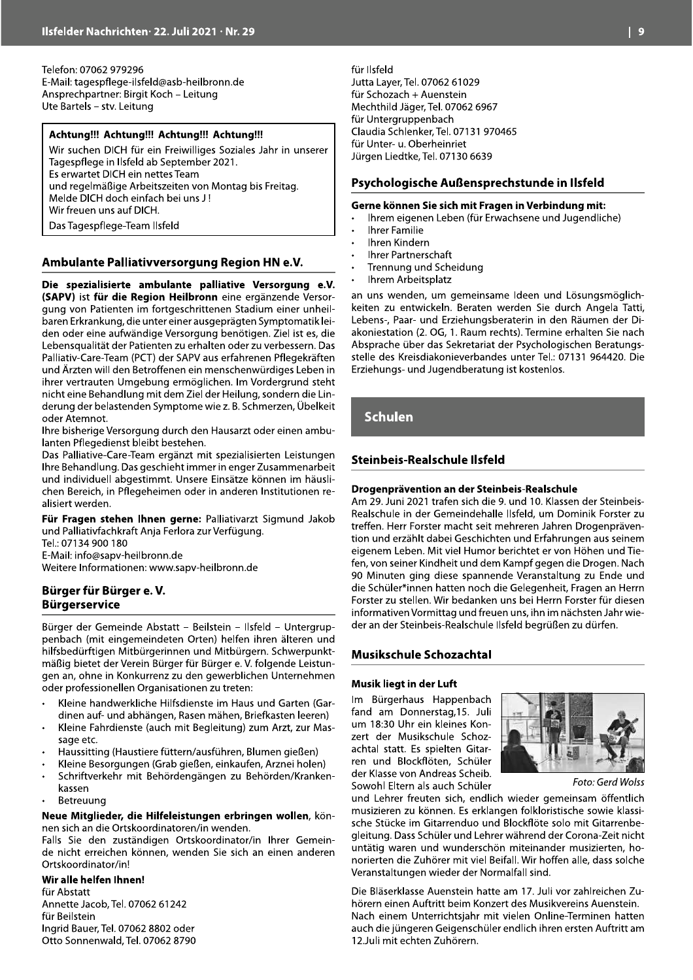Telefon: 07062 979296 E-Mail: tagespflege-ilsfeld@asb-heilbronn.de Ansprechpartner: Birgit Koch - Leitung Ute Bartels - stv. Leitung

#### Achtung!!! Achtung!!! Achtung!!! Achtung!!!

Wir suchen DICH für ein Freiwilliges Soziales Jahr in unserer Tagespflege in Ilsfeld ab September 2021. Es erwartet DICH ein nettes Team und regelmäßige Arbeitszeiten von Montag bis Freitag. Melde DICH doch einfach bei uns J! Wir freuen uns auf DICH. Das Tagespflege-Team Ilsfeld

#### Ambulante Palliativversorgung Region HN e.V.

Die spezialisierte ambulante palliative Versorgung e.V. (SAPV) ist für die Region Heilbronn eine ergänzende Versorgung von Patienten im fortgeschrittenen Stadium einer unheilbaren Erkrankung, die unter einer ausgeprägten Symptomatik leiden oder eine aufwändige Versorgung benötigen. Ziel ist es, die Lebensqualität der Patienten zu erhalten oder zu verbessern. Das Palliativ-Care-Team (PCT) der SAPV aus erfahrenen Pflegekräften und Ärzten will den Betroffenen ein menschenwürdiges Leben in ihrer vertrauten Umgebung ermöglichen. Im Vordergrund steht nicht eine Behandlung mit dem Ziel der Heilung, sondern die Linderung der belastenden Symptome wie z. B. Schmerzen, Übelkeit oder Atemnot.

Ihre bisherige Versorgung durch den Hausarzt oder einen ambulanten Pflegedienst bleibt bestehen.

Das Palliative-Care-Team ergänzt mit spezialisierten Leistungen Ihre Behandlung. Das geschieht immer in enger Zusammenarbeit und individuell abgestimmt. Unsere Einsätze können im häuslichen Bereich, in Pflegeheimen oder in anderen Institutionen realisiert werden.

Für Fragen stehen Ihnen gerne: Palliativarzt Sigmund Jakob und Palliativfachkraft Anja Ferlora zur Verfügung. Tel.: 07134 900 180 E-Mail: info@sapy-heilbronn.de

Weitere Informationen: www.sapv-heilbronn.de

#### Bürger für Bürger e.V. **Bürgerservice**

Bürger der Gemeinde Abstatt - Beilstein - Ilsfeld - Untergruppenbach (mit eingemeindeten Orten) helfen ihren älteren und hilfsbedürftigen Mitbürgerinnen und Mitbürgern. Schwerpunktmäßig bietet der Verein Bürger für Bürger e. V. folgende Leistungen an, ohne in Konkurrenz zu den gewerblichen Unternehmen oder professionellen Organisationen zu treten:

- Kleine handwerkliche Hilfsdienste im Haus und Garten (Gardinen auf- und abhängen, Rasen mähen, Briefkasten leeren)
- Kleine Fahrdienste (auch mit Begleitung) zum Arzt, zur Massage etc.
- Haussitting (Haustiere füttern/ausführen, Blumen gießen)
- Kleine Besorgungen (Grab gießen, einkaufen, Arznei holen)
- Schriftverkehr mit Behördengängen zu Behörden/Krankenkassen
- Betreuung

#### Neue Mitglieder, die Hilfeleistungen erbringen wollen, können sich an die Ortskoordinatoren/in wenden.

Falls Sie den zuständigen Ortskoordinator/in Ihrer Gemeinde nicht erreichen können, wenden Sie sich an einen anderen Ortskoordinator/in!

#### Wir alle helfen Ihnen!

für Abstatt Annette Jacob, Tel. 07062 61242 für Beilstein Ingrid Bauer, Tel. 07062 8802 oder Otto Sonnenwald, Tel. 07062 8790 für Ilsfeld Jutta Layer, Tel. 07062 61029 für Schozach + Auenstein Mechthild Jäger, Tel. 07062 6967 für Untergruppenbach Claudia Schlenker, Tel. 07131 970465 für Unter- u. Oberheinriet Jürgen Liedtke, Tel. 07130 6639

#### Psychologische Außensprechstunde in Ilsfeld

#### Gerne können Sie sich mit Fragen in Verbindung mit:

- Ihrem eigenen Leben (für Erwachsene und Jugendliche)
- **Ihrer Familie**
- Ihren Kindern
- Ihrer Partnerschaft
- Trennung und Scheidung
- Ihrem Arbeitsplatz

an uns wenden, um gemeinsame Ideen und Lösungsmöglichkeiten zu entwickeln. Beraten werden Sie durch Angela Tatti, Lebens-, Paar- und Erziehungsberaterin in den Räumen der Diakoniestation (2. OG, 1. Raum rechts). Termine erhalten Sie nach Absprache über das Sekretariat der Psychologischen Beratungsstelle des Kreisdiakonieverbandes unter Tel.: 07131 964420. Die Erziehungs- und Jugendberatung ist kostenlos.

**Schulen** 

#### Steinbeis-Realschule Ilsfeld

#### Drogenprävention an der Steinbeis-Realschule

Am 29. Juni 2021 trafen sich die 9. und 10. Klassen der Steinbeis-Realschule in der Gemeindehalle Ilsfeld, um Dominik Forster zu treffen. Herr Forster macht seit mehreren Jahren Drogenprävention und erzählt dabei Geschichten und Erfahrungen aus seinem eigenem Leben. Mit viel Humor berichtet er von Höhen und Tiefen, von seiner Kindheit und dem Kampf gegen die Drogen. Nach 90 Minuten ging diese spannende Veranstaltung zu Ende und die Schüler\*innen hatten noch die Gelegenheit, Fragen an Herrn Forster zu stellen. Wir bedanken uns bei Herrn Forster für diesen informativen Vormittag und freuen uns, ihn im nächsten Jahr wieder an der Steinbeis-Realschule Ilsfeld begrüßen zu dürfen.

#### **Musikschule Schozachtal**

#### Musik liegt in der Luft

Im Bürgerhaus Happenbach fand am Donnerstag, 15. Juli um 18:30 Uhr ein kleines Konzert der Musikschule Schozachtal statt. Es spielten Gitarren und Blockflöten, Schüler der Klasse von Andreas Scheib. Sowohl Eltern als auch Schüler



Foto: Gerd Wolss

und Lehrer freuten sich, endlich wieder gemeinsam öffentlich musizieren zu können. Es erklangen folkloristische sowie klassische Stücke im Gitarrenduo und Blockflöte solo mit Gitarrenbegleitung. Dass Schüler und Lehrer während der Corona-Zeit nicht untätig waren und wunderschön miteinander musizierten, honorierten die Zuhörer mit viel Beifall. Wir hoffen alle, dass solche Veranstaltungen wieder der Normalfall sind.

Die Bläserklasse Auenstein hatte am 17. Juli vor zahlreichen Zuhörern einen Auftritt beim Konzert des Musikvereins Auenstein. Nach einem Unterrichtsjahr mit vielen Online-Terminen hatten auch die jüngeren Geigenschüler endlich ihren ersten Auftritt am 12. Juli mit echten Zuhörern.